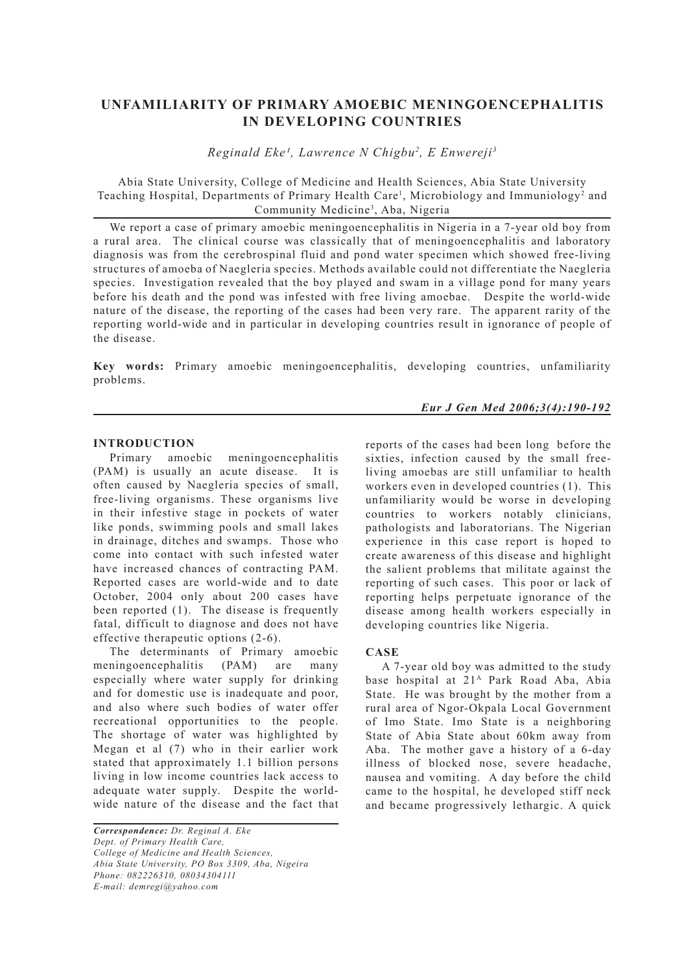# **UNFAMILIARITY OF PRIMARY AMOEBIC MENINGOENCEPHALITIS IN DEVELOPING COUNTRIES**

*Reginald Eke¹, Lawrence N Chigbu2 , E Enwereji3*

Abia State University, College of Medicine and Health Sciences, Abia State University Teaching Hospital, Departments of Primary Health Care<sup>1</sup>, Microbiology and Immuniology<sup>2</sup> and Community Medicine3 , Aba, Nigeria

We report a case of primary amoebic meningoencephalitis in Nigeria in a 7-year old boy from a rural area. The clinical course was classically that of meningoencephalitis and laboratory diagnosis was from the cerebrospinal fluid and pond water specimen which showed free-living structures of amoeba of Naegleria species. Methods available could not differentiate the Naegleria species. Investigation revealed that the boy played and swam in a village pond for many years before his death and the pond was infested with free living amoebae. Despite the world-wide nature of the disease, the reporting of the cases had been very rare. The apparent rarity of the reporting world-wide and in particular in developing countries result in ignorance of people of the disease.

**Key words:** Primary amoebic meningoencephalitis, developing countries, unfamiliarity problems.

### *Eur J Gen Med 2006;3(4):190-192*

#### **INTRODUCTION**

Primary amoebic meningoencephalitis (PAM) is usually an acute disease. It is often caused by Naegleria species of small, free-living organisms. These organisms live in their infestive stage in pockets of water like ponds, swimming pools and small lakes in drainage, ditches and swamps. Those who come into contact with such infested water have increased chances of contracting PAM. Reported cases are world-wide and to date October, 2004 only about 200 cases have been reported (1). The disease is frequently fatal, difficult to diagnose and does not have effective therapeutic options (2-6).

The determinants of Primary amoebic meningoencephalitis (PAM) are many especially where water supply for drinking and for domestic use is inadequate and poor, and also where such bodies of water offer recreational opportunities to the people. The shortage of water was highlighted by Megan et al (7) who in their earlier work stated that approximately 1.1 billion persons living in low income countries lack access to adequate water supply. Despite the worldwide nature of the disease and the fact that

*Correspondence: Dr. Reginal A. Eke Dept. of Primary Health Care, College of Medicine and Health Sciences, Abia State University, PO Box 3309, Aba, Nigeira Phone: 082226310, 08034304111 E-mail: demregi@yahoo.com*

reports of the cases had been long before the sixties, infection caused by the small freeliving amoebas are still unfamiliar to health workers even in developed countries (1). This unfamiliarity would be worse in developing countries to workers notably clinicians, pathologists and laboratorians. The Nigerian experience in this case report is hoped to create awareness of this disease and highlight the salient problems that militate against the reporting of such cases. This poor or lack of reporting helps perpetuate ignorance of the disease among health workers especially in developing countries like Nigeria.

# **CASE**

A 7-year old boy was admitted to the study base hospital at 21A Park Road Aba, Abia State. He was brought by the mother from a rural area of Ngor-Okpala Local Government of Imo State. Imo State is a neighboring State of Abia State about 60km away from Aba. The mother gave a history of a 6-day illness of blocked nose, severe headache, nausea and vomiting. A day before the child came to the hospital, he developed stiff neck and became progressively lethargic. A quick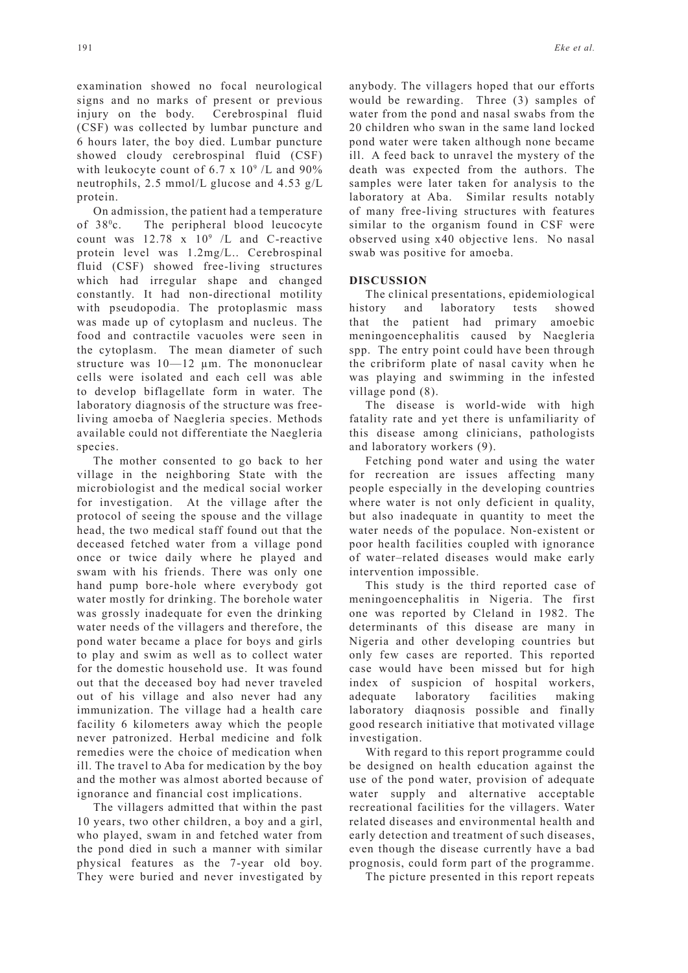examination showed no focal neurological signs and no marks of present or previous injury on the body. Cerebrospinal fluid (CSF) was collected by lumbar puncture and 6 hours later, the boy died. Lumbar puncture showed cloudy cerebrospinal fluid (CSF) with leukocyte count of  $6.7 \times 10^9$  /L and  $90\%$ neutrophils, 2.5 mmol/L glucose and 4.53 g/L protein.

On admission, the patient had a temperature of  $38^{\circ}$ c. The peripheral blood leucocyte count was  $12.78 \times 10^9$  /L and C-reactive protein level was 1.2mg/L.. Cerebrospinal fluid (CSF) showed free-living structures which had irregular shape and changed constantly. It had non-directional motility with pseudopodia. The protoplasmic mass was made up of cytoplasm and nucleus. The food and contractile vacuoles were seen in the cytoplasm. The mean diameter of such structure was 10—12 µm. The mononuclear cells were isolated and each cell was able to develop biflagellate form in water. The laboratory diagnosis of the structure was freeliving amoeba of Naegleria species. Methods available could not differentiate the Naegleria species.

The mother consented to go back to her village in the neighboring State with the microbiologist and the medical social worker for investigation. At the village after the protocol of seeing the spouse and the village head, the two medical staff found out that the deceased fetched water from a village pond once or twice daily where he played and swam with his friends. There was only one hand pump bore-hole where everybody got water mostly for drinking. The borehole water was grossly inadequate for even the drinking water needs of the villagers and therefore, the pond water became a place for boys and girls to play and swim as well as to collect water for the domestic household use. It was found out that the deceased boy had never traveled out of his village and also never had any immunization. The village had a health care facility 6 kilometers away which the people never patronized. Herbal medicine and folk remedies were the choice of medication when ill. The travel to Aba for medication by the boy and the mother was almost aborted because of ignorance and financial cost implications.

The villagers admitted that within the past 10 years, two other children, a boy and a girl, who played, swam in and fetched water from the pond died in such a manner with similar physical features as the 7-year old boy. They were buried and never investigated by anybody. The villagers hoped that our efforts would be rewarding. Three (3) samples of water from the pond and nasal swabs from the 20 children who swan in the same land locked pond water were taken although none became ill. A feed back to unravel the mystery of the death was expected from the authors. The samples were later taken for analysis to the laboratory at Aba. Similar results notably of many free-living structures with features similar to the organism found in CSF were observed using x40 objective lens. No nasal swab was positive for amoeba.

## **DISCUSSION**

The clinical presentations, epidemiological history and laboratory tests showed that the patient had primary amoebic meningoencephalitis caused by Naegleria spp. The entry point could have been through the cribriform plate of nasal cavity when he was playing and swimming in the infested village pond (8).

The disease is world-wide with high fatality rate and yet there is unfamiliarity of this disease among clinicians, pathologists and laboratory workers (9).

Fetching pond water and using the water for recreation are issues affecting many people especially in the developing countries where water is not only deficient in quality, but also inadequate in quantity to meet the water needs of the populace. Non-existent or poor health facilities coupled with ignorance of water–related diseases would make early intervention impossible.

This study is the third reported case of meningoencephalitis in Nigeria. The first one was reported by Cleland in 1982. The determinants of this disease are many in Nigeria and other developing countries but only few cases are reported. This reported case would have been missed but for high index of suspicion of hospital workers, adequate laboratory facilities making laboratory diaqnosis possible and finally good research initiative that motivated village investigation.

With regard to this report programme could be designed on health education against the use of the pond water, provision of adequate water supply and alternative acceptable recreational facilities for the villagers. Water related diseases and environmental health and early detection and treatment of such diseases, even though the disease currently have a bad prognosis, could form part of the programme.

The picture presented in this report repeats